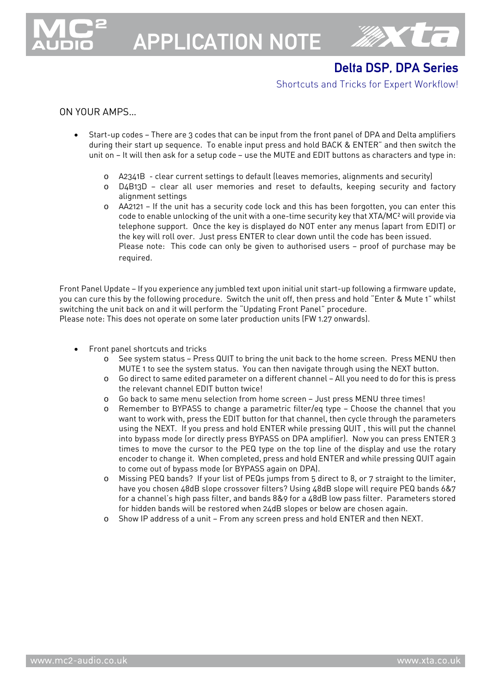

# APPLICATION NOTE



## Delta DSP, DPA Series

### Shortcuts and Tricks for Expert Workflow!

## ON YOUR AMPS…

- Start-up codes There are 3 codes that can be input from the front panel of DPA and Delta amplifiers during their start up sequence. To enable input press and hold BACK & ENTER" and then switch the unit on — It will then ask for a setup code — use the MUTE and EDIT buttons as characters and type in:
	- o A2341B clear current settings to default (leaves memories, alignments and security)
	- o D4B13D clear all user memories and reset to defaults, keeping security and factory alignment settings
	- o AA2121 If the unit has a security code lock and this has been forgotten, you can enter this code to enable unlocking of the unit with a one-time security key that XTA/MC² will provide via telephone support. Once the key is displayed do NOT enter any menus (apart from EDIT) or the key will roll over. Just press ENTER to clear down until the code has been issued. Please note: This code can only be given to authorised users — proof of purchase may be required.

Front Panel Update — If you experience any jumbled text upon initial unit start-up following a firmware update, you can cure this by the following procedure. Switch the unit off, then press and hold "Enter & Mute 1" whilst switching the unit back on and it will perform the "Updating Front Panel" procedure. Please note: This does not operate on some later production units (FW 1.27 onwards).

- Front panel shortcuts and tricks
	- o See system status Press QUIT to bring the unit back to the home screen. Press MENU then MUTE 1 to see the system status. You can then navigate through using the NEXT button.
	- o Go direct to same edited parameter on a different channel All you need to do for this is press the relevant channel EDIT button twice!
	- o Go back to same menu selection from home screen Just press MENU three times!
	- o Remember to BYPASS to change a parametric filter/eq type Choose the channel that you want to work with, press the EDIT button for that channel, then cycle through the parameters using the NEXT. If you press and hold ENTER while pressing QUIT , this will put the channel into bypass mode (or directly press BYPASS on DPA amplifier). Now you can press ENTER 3 times to move the cursor to the PEQ type on the top line of the display and use the rotary encoder to change it. When completed, press and hold ENTER and while pressing QUIT again to come out of bypass mode (or BYPASS again on DPA).
	- Missing PEQ bands? If your list of PEQs jumps from 5 direct to 8, or 7 straight to the limiter, have you chosen 48dB slope crossover filters? Using 48dB slope will require PEQ bands 6&7 for a channel's high pass filter, and bands 8&9 for a 48dB low pass filter. Parameters stored for hidden bands will be restored when 24dB slopes or below are chosen again.
	- o Show IP address of a unit From any screen press and hold ENTER and then NEXT.